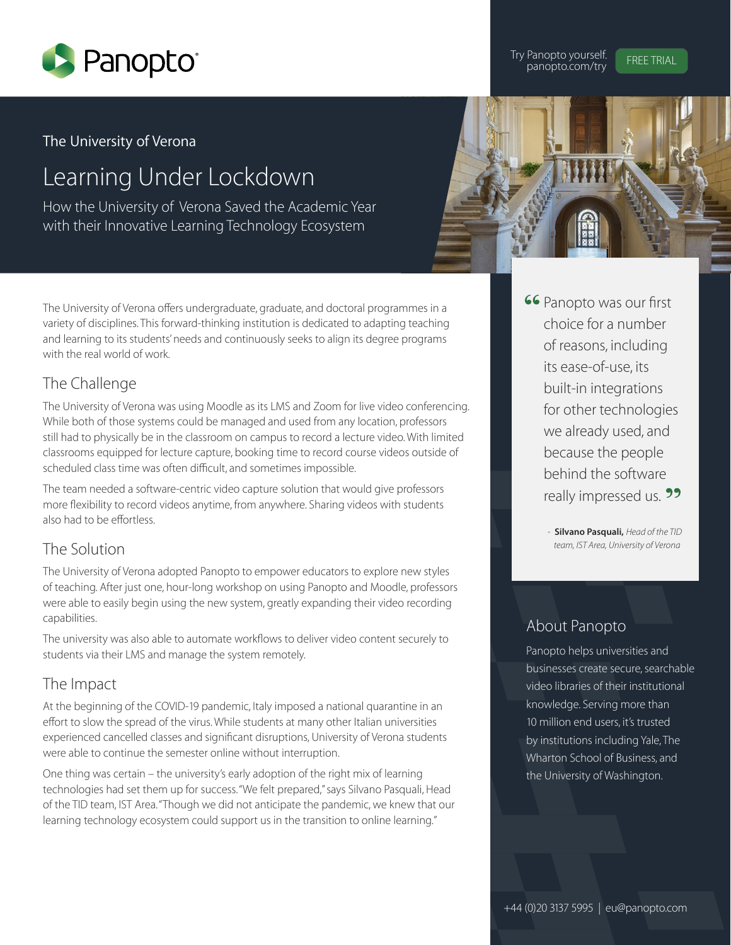

Try Panopto yourself. FREE TRIAL panopto.com/try

## The University of Verona

# Learning Under Lockdown

How the University of Verona Saved the Academic Year with their Innovative Learning Technology Ecosystem



The University of Verona offers undergraduate, graduate, and doctoral programmes in a variety of disciplines. This forward-thinking institution is dedicated to adapting teaching and learning to its students' needs and continuously seeks to align its degree programs with the real world of work.

## The Challenge

The University of Verona was using Moodle as its LMS and Zoom for live video conferencing. While both of those systems could be managed and used from any location, professors still had to physically be in the classroom on campus to record a lecture video. With limited classrooms equipped for lecture capture, booking time to record course videos outside of scheduled class time was often difficult, and sometimes impossible.

The team needed a software-centric video capture solution that would give professors more flexibility to record videos anytime, from anywhere. Sharing videos with students also had to be effortless.

### The Solution

The University of Verona adopted Panopto to empower educators to explore new styles of teaching. After just one, hour-long workshop on using Panopto and Moodle, professors were able to easily begin using the new system, greatly expanding their video recording capabilities.

The university was also able to automate workflows to deliver video content securely to students via their LMS and manage the system remotely.

## The Impact

At the beginning of the COVID-19 pandemic, Italy imposed a national quarantine in an effort to slow the spread of the virus. While students at many other Italian universities experienced cancelled classes and significant disruptions, University of Verona students were able to continue the semester online without interruption.

One thing was certain – the university's early adoption of the right mix of learning technologies had set them up for success. "We felt prepared," says Silvano Pasquali, Head of the TID team, IST Area. "Though we did not anticipate the pandemic, we knew that our learning technology ecosystem could support us in the transition to online learning."

**66 Panopto was our first** choice for a number of reasons, including its ease-of-use, its built-in integrations for other technologies we already used, and because the people behind the software really impressed us. **22** 

> - **Silvano Pasquali,** *Head of the TID team, IST Area, University of Verona*

## About Panopto

Panopto helps universities and businesses create secure, searchable video libraries of their institutional knowledge. Serving more than 10 million end users, it's trusted by institutions including Yale, The Wharton School of Business, and the University of Washington.